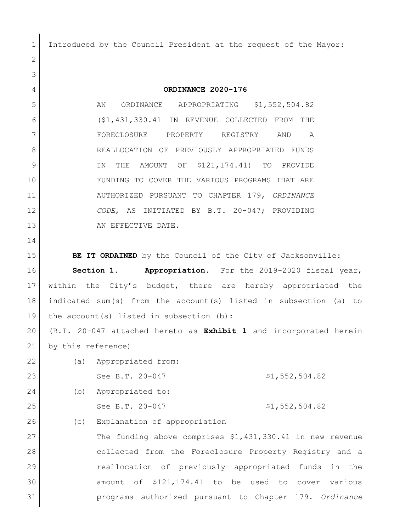Introduced by the Council President at the request of the Mayor:

 **ORDINANCE 2020-176** 5 AN ORDINANCE APPROPRIATING \$1,552,504.82 (\$1,431,330.41 IN REVENUE COLLECTED FROM THE FORECLOSURE PROPERTY REGISTRY AND A 8 REALLOCATION OF PREVIOUSLY APPROPRIATED FUNDS 9 IN THE AMOUNT OF \$121,174.41) TO PROVIDE FUNDING TO COVER THE VARIOUS PROGRAMS THAT ARE AUTHORIZED PURSUANT TO CHAPTER 179, *ORDINANCE CODE*, AS INITIATED BY B.T. 20-047; PROVIDING 13 AN EFFECTIVE DATE. **BE IT ORDAINED** by the Council of the City of Jacksonville: **Section 1. Appropriation.** For the 2019-2020 fiscal year, within the City's budget, there are hereby appropriated the indicated sum(s) from the account(s) listed in subsection (a) to 19 | the account(s) listed in subsection (b): (B.T. 20-047 attached hereto as **Exhibit 1** and incorporated herein by this reference) (a) Appropriated from: 23 See B.T. 20-047 \$1,552,504.82 (b) Appropriated to: 25 See B.T. 20-047 \$1,552,504.82 26 (c) Explanation of appropriation The funding above comprises \$1,431,330.41 in new revenue

 collected from the Foreclosure Property Registry and a reallocation of previously appropriated funds in the amount of \$121,174.41 to be used to cover various programs authorized pursuant to Chapter 179. *Ordinance*